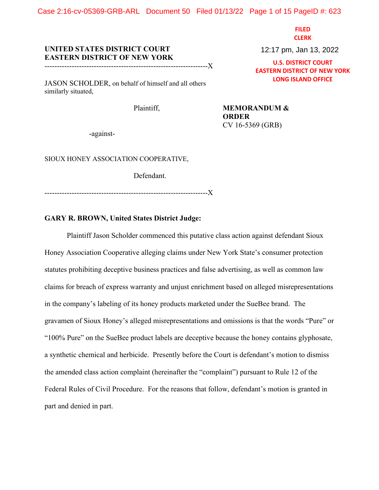Case 2:16-cv-05369-GRB-ARL Document 50 Filed 01/13/22 Page 1 of 15 PageID #: 623

**FILED CLERK**

# **UNITED STATES DISTRICT COURT EASTERN DISTRICT OF NEW YORK**

------------------------------------------------------------------X

JASON SCHOLDER, on behalf of himself and all others similarly situated,

Plaintiff, **MEMORANDUM & ORDER** CV 16-5369 (GRB)

-against-

SIOUX HONEY ASSOCIATION COOPERATIVE,

Defendant.

------------------------------------------------------------------X

## **GARY R. BROWN, United States District Judge:**

Plaintiff Jason Scholder commenced this putative class action against defendant Sioux Honey Association Cooperative alleging claims under New York State's consumer protection statutes prohibiting deceptive business practices and false advertising, as well as common law claims for breach of express warranty and unjust enrichment based on alleged misrepresentations in the company's labeling of its honey products marketed under the SueBee brand. The gravamen of Sioux Honey's alleged misrepresentations and omissions is that the words "Pure" or "100% Pure" on the SueBee product labels are deceptive because the honey contains glyphosate, a synthetic chemical and herbicide. Presently before the Court is defendant's motion to dismiss the amended class action complaint (hereinafter the "complaint") pursuant to Rule 12 of the Federal Rules of Civil Procedure. For the reasons that follow, defendant's motion is granted in part and denied in part.

12:17 pm, Jan 13, 2022

**U.S. DISTRICT COURT EASTERN DISTRICT OF NEW YORK LONG ISLAND OFFICE**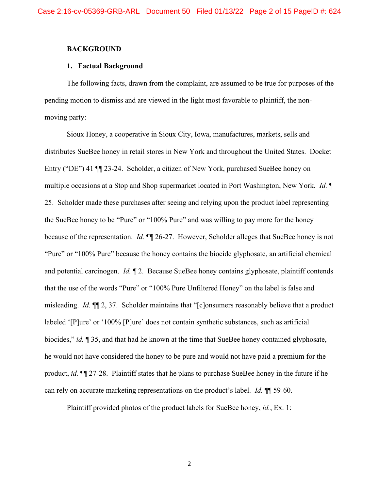#### **BACKGROUND**

### **1. Factual Background**

The following facts, drawn from the complaint, are assumed to be true for purposes of the pending motion to dismiss and are viewed in the light most favorable to plaintiff, the nonmoving party:

Sioux Honey, a cooperative in Sioux City, Iowa, manufactures, markets, sells and distributes SueBee honey in retail stores in New York and throughout the United States. Docket Entry ("DE") 41 ¶¶ 23-24. Scholder, a citizen of New York, purchased SueBee honey on multiple occasions at a Stop and Shop supermarket located in Port Washington, New York. *Id.* ¶ 25. Scholder made these purchases after seeing and relying upon the product label representing the SueBee honey to be "Pure" or "100% Pure" and was willing to pay more for the honey because of the representation. *Id.* ¶¶ 26-27. However, Scholder alleges that SueBee honey is not "Pure" or "100% Pure" because the honey contains the biocide glyphosate, an artificial chemical and potential carcinogen. *Id.* ¶ 2. Because SueBee honey contains glyphosate, plaintiff contends that the use of the words "Pure" or "100% Pure Unfiltered Honey" on the label is false and misleading. *Id.* ¶¶ 2, 37. Scholder maintains that "[c]onsumers reasonably believe that a product labeled '[P]ure' or '100% [P]ure' does not contain synthetic substances, such as artificial biocides," *id.* ¶ 35, and that had he known at the time that SueBee honey contained glyphosate, he would not have considered the honey to be pure and would not have paid a premium for the product, *id.* ¶¶ 27-28. Plaintiff states that he plans to purchase SueBee honey in the future if he can rely on accurate marketing representations on the product's label. *Id.* ¶¶ 59-60.

Plaintiff provided photos of the product labels for SueBee honey, *id.*, Ex. 1: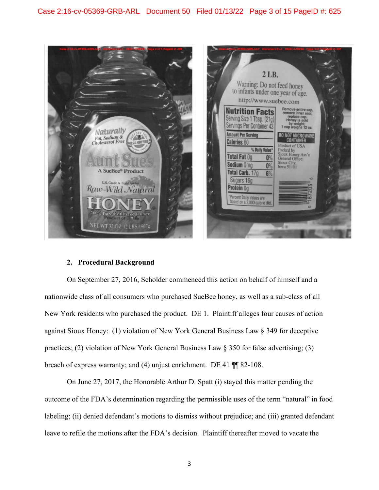

## **2. Procedural Background**

On September 27, 2016, Scholder commenced this action on behalf of himself and a nationwide class of all consumers who purchased SueBee honey, as well as a sub-class of all New York residents who purchased the product. DE 1. Plaintiff alleges four causes of action against Sioux Honey: (1) violation of New York General Business Law § 349 for deceptive practices; (2) violation of New York General Business Law § 350 for false advertising; (3) breach of express warranty; and (4) unjust enrichment. DE 41 ¶¶ 82-108.

On June 27, 2017, the Honorable Arthur D. Spatt (i) stayed this matter pending the outcome of the FDA's determination regarding the permissible uses of the term "natural" in food labeling; (ii) denied defendant's motions to dismiss without prejudice; and (iii) granted defendant leave to refile the motions after the FDA's decision. Plaintiff thereafter moved to vacate the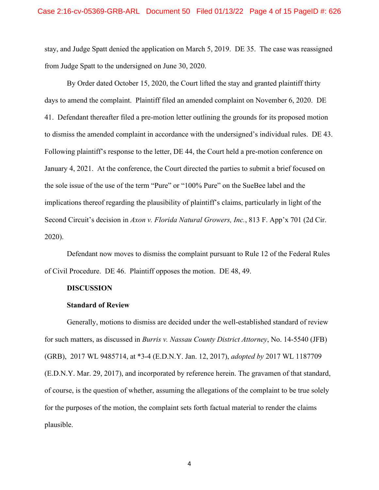stay, and Judge Spatt denied the application on March 5, 2019. DE 35. The case was reassigned from Judge Spatt to the undersigned on June 30, 2020.

By Order dated October 15, 2020, the Court lifted the stay and granted plaintiff thirty days to amend the complaint. Plaintiff filed an amended complaint on November 6, 2020. DE 41. Defendant thereafter filed a pre-motion letter outlining the grounds for its proposed motion to dismiss the amended complaint in accordance with the undersigned's individual rules. DE 43. Following plaintiff's response to the letter, DE 44, the Court held a pre-motion conference on January 4, 2021. At the conference, the Court directed the parties to submit a brief focused on the sole issue of the use of the term "Pure" or "100% Pure" on the SueBee label and the implications thereof regarding the plausibility of plaintiff's claims, particularly in light of the Second Circuit's decision in *Axon v. Florida Natural Growers, Inc.*, 813 F. App'x 701 (2d Cir. 2020).

Defendant now moves to dismiss the complaint pursuant to Rule 12 of the Federal Rules of Civil Procedure. DE 46. Plaintiff opposes the motion. DE 48, 49.

### **DISCUSSION**

#### **Standard of Review**

Generally, motions to dismiss are decided under the well-established standard of review for such matters, as discussed in *Burris v. Nassau County District Attorney*, No. 14-5540 (JFB) (GRB), 2017 WL 9485714, at \*3-4 (E.D.N.Y. Jan. 12, 2017), *adopted by* 2017 WL 1187709 (E.D.N.Y. Mar. 29, 2017), and incorporated by reference herein. The gravamen of that standard, of course, is the question of whether, assuming the allegations of the complaint to be true solely for the purposes of the motion, the complaint sets forth factual material to render the claims plausible.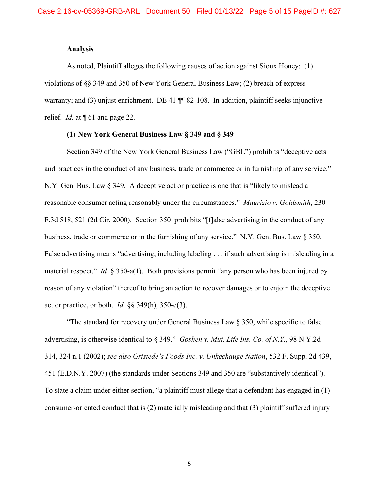### **Analysis**

As noted, Plaintiff alleges the following causes of action against Sioux Honey: (1) violations of §§ 349 and 350 of New York General Business Law; (2) breach of express warranty; and (3) unjust enrichment. DE 41  $\P$  82-108. In addition, plaintiff seeks injunctive relief. *Id.* at ¶ 61 and page 22.

## **(1) New York General Business Law § 349 and § 349**

Section 349 of the New York General Business Law ("GBL") prohibits "deceptive acts and practices in the conduct of any business, trade or commerce or in furnishing of any service." N.Y. Gen. Bus. Law § 349. A deceptive act or practice is one that is "likely to mislead a reasonable consumer acting reasonably under the circumstances." *Maurizio v. Goldsmith*, 230 F.3d 518, 521 (2d Cir. 2000). Section 350 prohibits "[f]alse advertising in the conduct of any business, trade or commerce or in the furnishing of any service." N.Y. Gen. Bus. Law § 350. False advertising means "advertising, including labeling . . . if such advertising is misleading in a material respect." *Id.* § 350-a(1). Both provisions permit "any person who has been injured by reason of any violation" thereof to bring an action to recover damages or to enjoin the deceptive act or practice, or both. *Id.* §§ 349(h), 350-e(3).

"The standard for recovery under General Business Law  $\S$  350, while specific to false advertising, is otherwise identical to § 349." *Goshen v. Mut. Life Ins. Co. of N.Y.*, 98 N.Y.2d 314, 324 n.1 (2002); *see also Gristede's Foods Inc. v. Unkechauge Nation*, 532 F. Supp. 2d 439, 451 (E.D.N.Y. 2007) (the standards under Sections 349 and 350 are "substantively identical"). To state a claim under either section, "a plaintiff must allege that a defendant has engaged in (1) consumer-oriented conduct that is (2) materially misleading and that (3) plaintiff suffered injury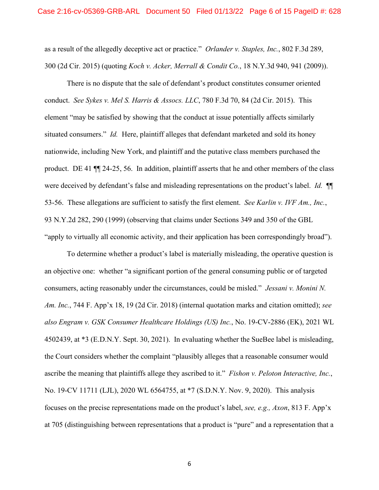as a result of the allegedly deceptive act or practice." *Orlander v. Staples, Inc.*, 802 F.3d 289, 300 (2d Cir. 2015) (quoting *Koch v. Acker, Merrall & Condit Co.*, 18 N.Y.3d 940, 941 (2009)).

There is no dispute that the sale of defendant's product constitutes consumer oriented conduct. *See Sykes v. Mel S. Harris & Assocs. LLC*, 780 F.3d 70, 84 (2d Cir. 2015). This element "may be satisfied by showing that the conduct at issue potentially affects similarly situated consumers." *Id.* Here, plaintiff alleges that defendant marketed and sold its honey nationwide, including New York, and plaintiff and the putative class members purchased the product. DE 41 ¶¶ 24-25, 56. In addition, plaintiff asserts that he and other members of the class were deceived by defendant's false and misleading representations on the product's label. *Id.* ¶¶ 53-56. These allegations are sufficient to satisfy the first element. *See Karlin v. IVF Am., Inc.*, 93 N.Y.2d 282, 290 (1999) (observing that claims under Sections 349 and 350 of the GBL "apply to virtually all economic activity, and their application has been correspondingly broad").

To determine whether a product's label is materially misleading, the operative question is an objective one: whether "a significant portion of the general consuming public or of targeted consumers, acting reasonably under the circumstances, could be misled." *Jessani v. Monini N. Am. Inc.*, 744 F. App'x 18, 19 (2d Cir. 2018) (internal quotation marks and citation omitted); *see also Engram v. GSK Consumer Healthcare Holdings (US) Inc.*, No. 19-CV-2886 (EK), 2021 WL 4502439, at \*3 (E.D.N.Y. Sept. 30, 2021). In evaluating whether the SueBee label is misleading, the Court considers whether the complaint "plausibly alleges that a reasonable consumer would ascribe the meaning that plaintiffs allege they ascribed to it." *Fishon v. Peloton Interactive, Inc.*, No. 19-CV 11711 (LJL), 2020 WL 6564755, at \*7 (S.D.N.Y. Nov. 9, 2020). This analysis focuses on the precise representations made on the product's label, *see, e.g., Axon*, 813 F. App'x at 705 (distinguishing between representations that a product is "pure" and a representation that a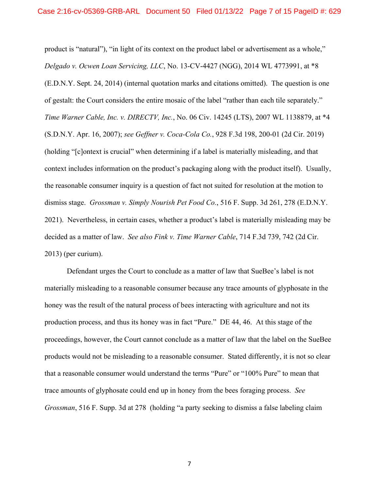product is "natural"), "in light of its context on the product label or advertisement as a whole," *Delgado v. Ocwen Loan Servicing, LLC*, No. 13-CV-4427 (NGG), 2014 WL 4773991, at \*8 (E.D.N.Y. Sept. 24, 2014) (internal quotation marks and citations omitted). The question is one of gestalt: the Court considers the entire mosaic of the label "rather than each tile separately." *Time Warner Cable, Inc. v. DIRECTV, Inc.*, No. 06 Civ. 14245 (LTS), 2007 WL 1138879, at \*4 (S.D.N.Y. Apr. 16, 2007); *see Geffner v. Coca-Cola Co.*, 928 F.3d 198, 200-01 (2d Cir. 2019) (holding "[c]ontext is crucial" when determining if a label is materially misleading, and that context includes information on the product's packaging along with the product itself). Usually, the reasonable consumer inquiry is a question of fact not suited for resolution at the motion to dismiss stage. *Grossman v. Simply Nourish Pet Food Co.*, 516 F. Supp. 3d 261, 278 (E.D.N.Y. 2021). Nevertheless, in certain cases, whether a product's label is materially misleading may be decided as a matter of law. *See also Fink v. Time Warner Cable*, 714 F.3d 739, 742 (2d Cir. 2013) (per curium).

Defendant urges the Court to conclude as a matter of law that SueBee's label is not materially misleading to a reasonable consumer because any trace amounts of glyphosate in the honey was the result of the natural process of bees interacting with agriculture and not its production process, and thus its honey was in fact "Pure." DE 44, 46. At this stage of the proceedings, however, the Court cannot conclude as a matter of law that the label on the SueBee products would not be misleading to a reasonable consumer. Stated differently, it is not so clear that a reasonable consumer would understand the terms "Pure" or "100% Pure" to mean that trace amounts of glyphosate could end up in honey from the bees foraging process. *See Grossman*, 516 F. Supp. 3d at 278 (holding "a party seeking to dismiss a false labeling claim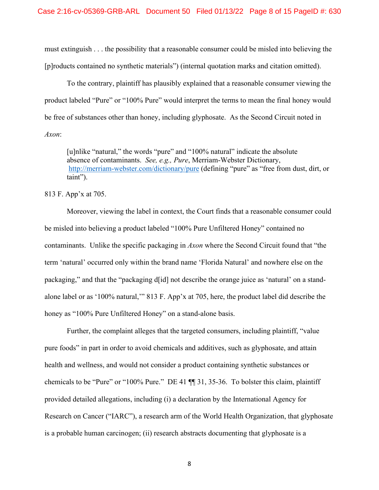must extinguish . . . the possibility that a reasonable consumer could be misled into believing the [p]roducts contained no synthetic materials") (internal quotation marks and citation omitted).

To the contrary, plaintiff has plausibly explained that a reasonable consumer viewing the product labeled "Pure" or "100% Pure" would interpret the terms to mean the final honey would be free of substances other than honey, including glyphosate. As the Second Circuit noted in *Axon*:

[u]nlike "natural," the words "pure" and "100% natural" indicate the absolute absence of contaminants. *See, e.g., Pure*, Merriam-Webster Dictionary, <http://merriam-webster.com/dictionary/pure> (defining "pure" as "free from dust, dirt, or taint").

### 813 F. App'x at 705.

Moreover, viewing the label in context, the Court finds that a reasonable consumer could be misled into believing a product labeled "100% Pure Unfiltered Honey" contained no contaminants. Unlike the specific packaging in *Axon* where the Second Circuit found that "the term 'natural' occurred only within the brand name 'Florida Natural' and nowhere else on the packaging," and that the "packaging d[id] not describe the orange juice as 'natural' on a standalone label or as '100% natural,'" 813 F. App'x at 705, here, the product label did describe the honey as "100% Pure Unfiltered Honey" on a stand-alone basis.

Further, the complaint alleges that the targeted consumers, including plaintiff, "value pure foods" in part in order to avoid chemicals and additives, such as glyphosate, and attain health and wellness, and would not consider a product containing synthetic substances or chemicals to be "Pure" or "100% Pure." DE 41 ¶¶ 31, 35-36. To bolster this claim, plaintiff provided detailed allegations, including (i) a declaration by the International Agency for Research on Cancer ("IARC"), a research arm of the World Health Organization, that glyphosate is a probable human carcinogen; (ii) research abstracts documenting that glyphosate is a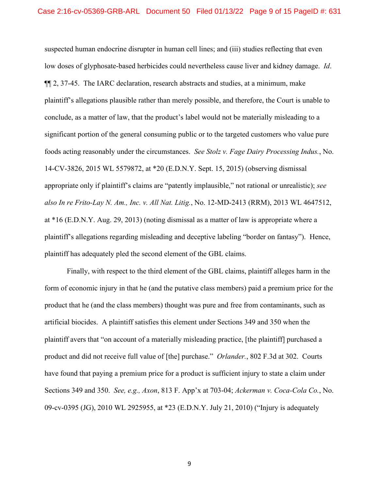suspected human endocrine disrupter in human cell lines; and (iii) studies reflecting that even low doses of glyphosate-based herbicides could nevertheless cause liver and kidney damage. *Id*. ¶¶ 2, 37-45. The IARC declaration, research abstracts and studies, at a minimum, make plaintiff's allegations plausible rather than merely possible, and therefore, the Court is unable to conclude, as a matter of law, that the product's label would not be materially misleading to a significant portion of the general consuming public or to the targeted customers who value pure foods acting reasonably under the circumstances. *See Stolz v. Fage Dairy Processing Indus.*, No. 14-CV-3826, 2015 WL 5579872, at \*20 (E.D.N.Y. Sept. 15, 2015) (observing dismissal appropriate only if plaintiff's claims are "patently implausible," not rational or unrealistic); *see also In re Frito-Lay N. Am., Inc. v. All Nat. Litig.*, No. 12-MD-2413 (RRM), 2013 WL 4647512, at \*16 (E.D.N.Y. Aug. 29, 2013) (noting dismissal as a matter of law is appropriate where a plaintiff's allegations regarding misleading and deceptive labeling "border on fantasy"). Hence, plaintiff has adequately pled the second element of the GBL claims.

Finally, with respect to the third element of the GBL claims, plaintiff alleges harm in the form of economic injury in that he (and the putative class members) paid a premium price for the product that he (and the class members) thought was pure and free from contaminants, such as artificial biocides. A plaintiff satisfies this element under Sections 349 and 350 when the plaintiff avers that "on account of a materially misleading practice, [the plaintiff] purchased a product and did not receive full value of [the] purchase." *Orlander.*, 802 F.3d at 302. Courts have found that paying a premium price for a product is sufficient injury to state a claim under Sections 349 and 350. *See, e.g., Axon*, 813 F. App'x at 703-04; *Ackerman v. Coca-Cola Co.*, No. 09-cv-0395 (JG), 2010 WL 2925955, at \*23 (E.D.N.Y. July 21, 2010) ("Injury is adequately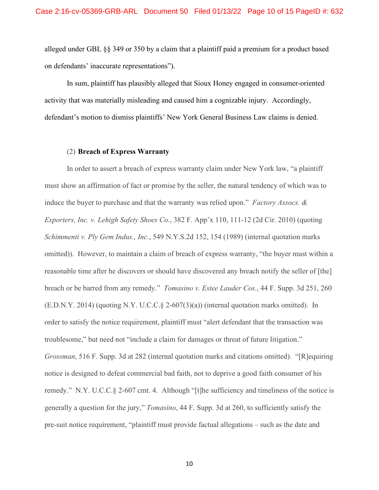alleged under GBL §§ 349 or 350 by a claim that a plaintiff paid a premium for a product based on defendants' inaccurate representations").

In sum, plaintiff has plausibly alleged that Sioux Honey engaged in consumer-oriented activity that was materially misleading and caused him a cognizable injury. Accordingly, defendant's motion to dismiss plaintiffs' New York General Business Law claims is denied.

### (2) **Breach of Express Warranty**

In order to assert a breach of express warranty claim under New York law, "a plaintiff must show an affirmation of fact or promise by the seller, the natural tendency of which was to induce the buyer to purchase and that the warranty was relied upon." *Factory Assocs. & Exporters, Inc. v. Lehigh Safety Shoes Co.*, 382 F. App'x 110, 111-12 (2d Cir. 2010) (quoting *Schimmenti v. Ply Gem Indus., Inc.*, 549 N.Y.S.2d 152, 154 (1989) (internal quotation marks omitted)). However, to maintain a claim of breach of express warranty, "the buyer must within a reasonable time after he discovers or should have discovered any breach notify the seller of [the] breach or be barred from any remedy." *Tomasino v. Estee Lauder Cos.*, 44 F. Supp. 3d 251, 260 (E.D.N.Y. 2014) (quoting N.Y. U.C.C.§ 2-607(3)(a)) (internal quotation marks omitted). In order to satisfy the notice requirement, plaintiff must "alert defendant that the transaction was troublesome," but need not "include a claim for damages or threat of future litigation." *Grossman*, 516 F. Supp. 3d at 282 (internal quotation marks and citations omitted). "[R]equiring notice is designed to defeat commercial bad faith, not to deprive a good faith consumer of his remedy." N.Y. U.C.C.§ 2-607 cmt. 4. Although "[t]he sufficiency and timeliness of the notice is generally a question for the jury," *Tomasino*, 44 F. Supp. 3d at 260, to sufficiently satisfy the pre-suit notice requirement, "plaintiff must provide factual allegations – such as the date and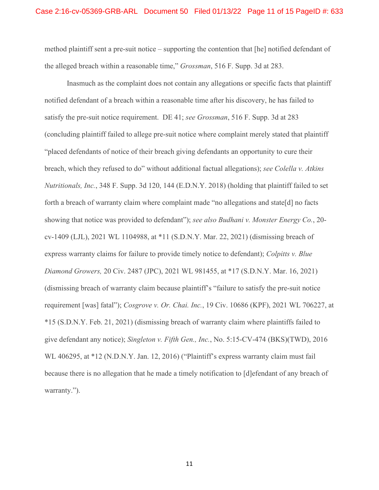method plaintiff sent a pre-suit notice – supporting the contention that [he] notified defendant of the alleged breach within a reasonable time," *Grossman*, 516 F. Supp. 3d at 283.

Inasmuch as the complaint does not contain any allegations or specific facts that plaintiff notified defendant of a breach within a reasonable time after his discovery, he has failed to satisfy the pre-suit notice requirement. DE 41; *see Grossman*, 516 F. Supp. 3d at 283 (concluding plaintiff failed to allege pre-suit notice where complaint merely stated that plaintiff "placed defendants of notice of their breach giving defendants an opportunity to cure their breach, which they refused to do" without additional factual allegations); *see Colella v. Atkins Nutritionals, Inc.*, 348 F. Supp. 3d 120, 144 (E.D.N.Y. 2018) (holding that plaintiff failed to set forth a breach of warranty claim where complaint made "no allegations and state[d] no facts showing that notice was provided to defendant"); *see also Budhani v. Monster Energy Co.*, 20 cv-1409 (LJL), 2021 WL 1104988, at \*11 (S.D.N.Y. Mar. 22, 2021) (dismissing breach of express warranty claims for failure to provide timely notice to defendant); *Colpitts v. Blue Diamond Growers,* 20 Civ. 2487 (JPC), 2021 WL 981455, at \*17 (S.D.N.Y. Mar. 16, 2021) (dismissing breach of warranty claim because plaintiff's "failure to satisfy the pre-suit notice requirement [was] fatal"); *Cosgrove v. Or. Chai. Inc.*, 19 Civ. 10686 (KPF), 2021 WL 706227, at \*15 (S.D.N.Y. Feb. 21, 2021) (dismissing breach of warranty claim where plaintiffs failed to give defendant any notice); *Singleton v. Fifth Gen., Inc.*, No. 5:15-CV-474 (BKS)(TWD), 2016 WL 406295, at \*12 (N.D.N.Y. Jan. 12, 2016) ("Plaintiff's express warranty claim must fail because there is no allegation that he made a timely notification to [d]efendant of any breach of warranty.").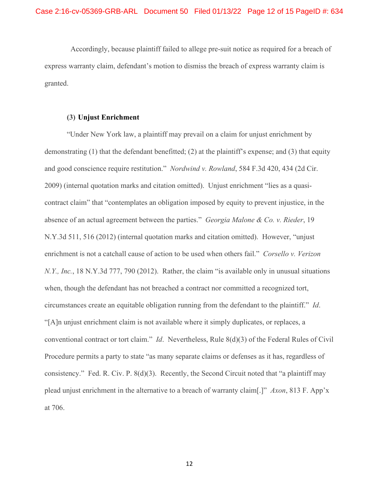Accordingly, because plaintiff failed to allege pre-suit notice as required for a breach of express warranty claim, defendant's motion to dismiss the breach of express warranty claim is granted.

#### **(3) Unjust Enrichment**

"Under New York law, a plaintiff may prevail on a claim for unjust enrichment by demonstrating (1) that the defendant benefitted; (2) at the plaintiff's expense; and (3) that equity and good conscience require restitution." *Nordwind v. Rowland*, 584 F.3d 420, 434 (2d Cir. 2009) (internal quotation marks and citation omitted). Unjust enrichment "lies as a quasicontract claim" that "contemplates an obligation imposed by equity to prevent injustice, in the absence of an actual agreement between the parties." *Georgia Malone & Co. v. Rieder*, 19 N.Y.3d 511, 516 (2012) (internal quotation marks and citation omitted). However, "unjust enrichment is not a catchall cause of action to be used when others fail." *Corsello v. Verizon N.Y., Inc.*, 18 N.Y.3d 777, 790 (2012). Rather, the claim "is available only in unusual situations when, though the defendant has not breached a contract nor committed a recognized tort, circumstances create an equitable obligation running from the defendant to the plaintiff." *Id*. "[A]n unjust enrichment claim is not available where it simply duplicates, or replaces, a conventional contract or tort claim." *Id*. Nevertheless, Rule 8(d)(3) of the Federal Rules of Civil Procedure permits a party to state "as many separate claims or defenses as it has, regardless of consistency." Fed. R. Civ. P. 8(d)(3). Recently, the Second Circuit noted that "a plaintiff may plead unjust enrichment in the alternative to a breach of warranty claim[.]" *Axon*, 813 F. App'x at 706.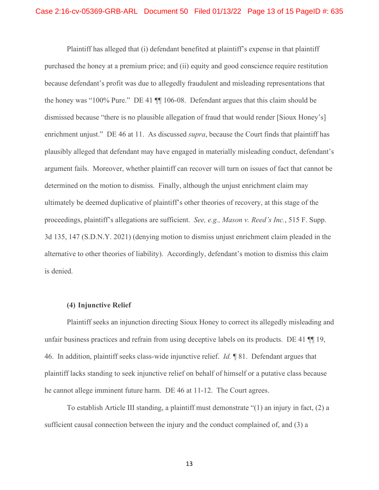Plaintiff has alleged that (i) defendant benefited at plaintiff's expense in that plaintiff purchased the honey at a premium price; and (ii) equity and good conscience require restitution because defendant's profit was due to allegedly fraudulent and misleading representations that the honey was "100% Pure." DE 41 ¶¶ 106-08. Defendant argues that this claim should be dismissed because "there is no plausible allegation of fraud that would render [Sioux Honey's] enrichment unjust." DE 46 at 11. As discussed *supra*, because the Court finds that plaintiff has plausibly alleged that defendant may have engaged in materially misleading conduct, defendant's argument fails. Moreover, whether plaintiff can recover will turn on issues of fact that cannot be determined on the motion to dismiss. Finally, although the unjust enrichment claim may ultimately be deemed duplicative of plaintiff's other theories of recovery, at this stage of the proceedings, plaintiff's allegations are sufficient. *See, e.g., Mason v. Reed's Inc.*, 515 F. Supp. 3d 135, 147 (S.D.N.Y. 2021) (denying motion to dismiss unjust enrichment claim pleaded in the alternative to other theories of liability). Accordingly, defendant's motion to dismiss this claim is denied.

### **(4) Injunctive Relief**

Plaintiff seeks an injunction directing Sioux Honey to correct its allegedly misleading and unfair business practices and refrain from using deceptive labels on its products. DE 41 ¶¶ 19, 46. In addition, plaintiff seeks class-wide injunctive relief. *Id.* ¶ 81. Defendant argues that plaintiff lacks standing to seek injunctive relief on behalf of himself or a putative class because he cannot allege imminent future harm. DE 46 at 11-12. The Court agrees.

To establish Article III standing, a plaintiff must demonstrate "(1) an injury in fact, (2) a sufficient causal connection between the injury and the conduct complained of, and (3) a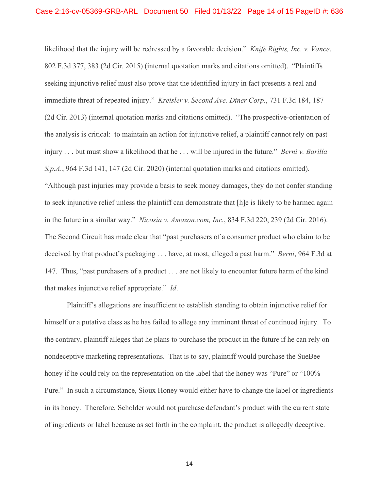likelihood that the injury will be redressed by a favorable decision." *Knife Rights, Inc. v. Vance*, 802 F.3d 377, 383 (2d Cir. 2015) (internal quotation marks and citations omitted). "Plaintiffs seeking injunctive relief must also prove that the identified injury in fact presents a real and immediate threat of repeated injury." *Kreisler v. Second Ave. Diner Corp.*, 731 F.3d 184, 187 (2d Cir. 2013) (internal quotation marks and citations omitted). "The prospective-orientation of the analysis is critical: to maintain an action for injunctive relief, a plaintiff cannot rely on past injury . . . but must show a likelihood that he . . . will be injured in the future." *Berni v. Barilla S.p.A.*, 964 F.3d 141, 147 (2d Cir. 2020) (internal quotation marks and citations omitted). "Although past injuries may provide a basis to seek money damages, they do not confer standing to seek injunctive relief unless the plaintiff can demonstrate that [h]e is likely to be harmed again in the future in a similar way." *Nicosia v. Amazon.com, Inc.*, 834 F.3d 220, 239 (2d Cir. 2016). The Second Circuit has made clear that "past purchasers of a consumer product who claim to be deceived by that product's packaging . . . have, at most, alleged a past harm." *Berni*, 964 F.3d at 147. Thus, "past purchasers of a product . . . are not likely to encounter future harm of the kind that makes injunctive relief appropriate." *Id*.

Plaintiff's allegations are insufficient to establish standing to obtain injunctive relief for himself or a putative class as he has failed to allege any imminent threat of continued injury. To the contrary, plaintiff alleges that he plans to purchase the product in the future if he can rely on nondeceptive marketing representations. That is to say, plaintiff would purchase the SueBee honey if he could rely on the representation on the label that the honey was "Pure" or "100% Pure." In such a circumstance, Sioux Honey would either have to change the label or ingredients in its honey. Therefore, Scholder would not purchase defendant's product with the current state of ingredients or label because as set forth in the complaint, the product is allegedly deceptive.